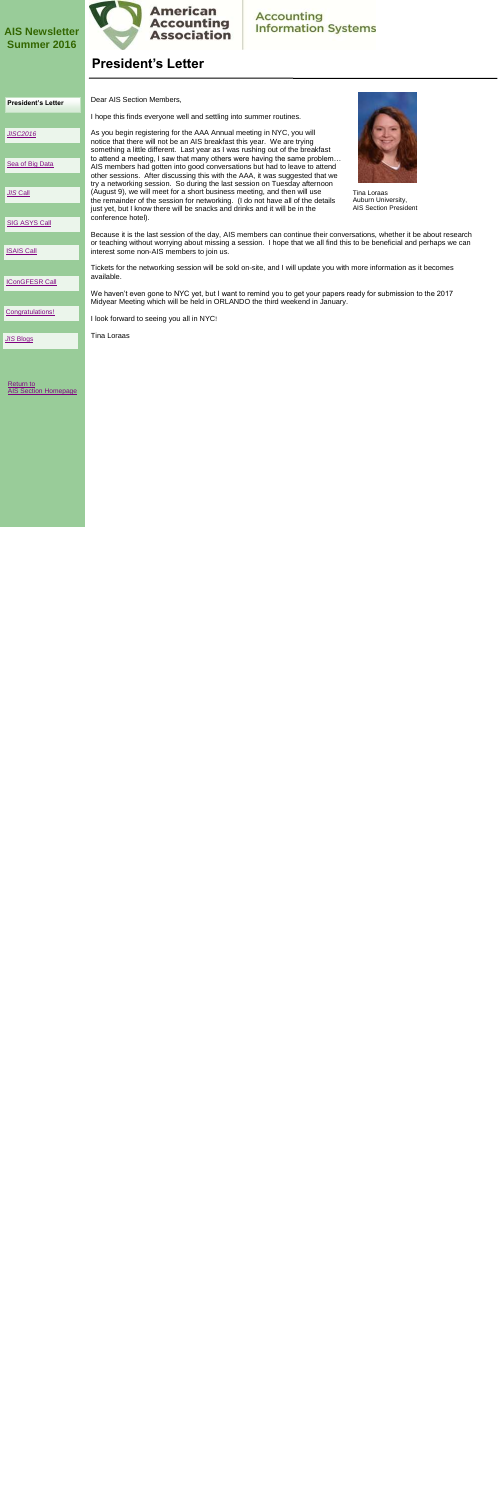## **President's Letter**

[Return to](http://www2.aaahq.org/infosys/index.cfm)  [AIS Section Homepage](http://www2.aaahq.org/infosys/index.cfm)



Tina Loraas Auburn University, AIS Section President

Dear AIS Section Members, I hope this finds everyone well and settling into summer routines. As you begin registering for the AAA Annual meeting in NYC, you will notice that there will not be an AIS breakfast this year. We are trying something a little different. Last year as I was rushing out of the breakfast to attend a meeting, I saw that many others were having the same problem… AIS members had gotten into good conversations but had to leave to attend

other sessions. After discussing this with the AAA, it was suggested that we try a networking session. So during the last session on Tuesday afternoon (August 9), we will meet for a short business meeting, and then will use the remainder of the session for networking. (I do not have all of the details just yet, but I know there will be snacks and drinks and it will be in the conference hotel).

Because it is the last session of the day, AIS members can continue their conversations, whether it be about research or teaching without worrying about missing a session. I hope that we all find this to be beneficial and perhaps we can interest some non-AIS members to join us.

Tickets for the networking session will be sold on-site, and I will update you with more information as it becomes available.

We haven't even gone to NYC yet, but I want to remind you to get your papers ready for submission to the 2017 Midyear Meeting which will be held in ORLANDO the third weekend in January.

I look forward to seeing you all in NYC!

Tina Loraas

<span id="page-0-0"></span>

### **AIS Newsletter Summer 2016**



### **Accounting Information Systems**

| <b>President's Letter</b> |  |
|---------------------------|--|
|---------------------------|--|

*[JISC2016](#page-1-0)*

[Sea of Big Data](#page-2-0)

*JIS* [Call](#page-3-0)

[SIG ASYS Call](#page-4-0)

[Congratulations!](#page-7-0)

[ISAIS Call](#page-5-0)

[IConGFESR Call](#page-6-0)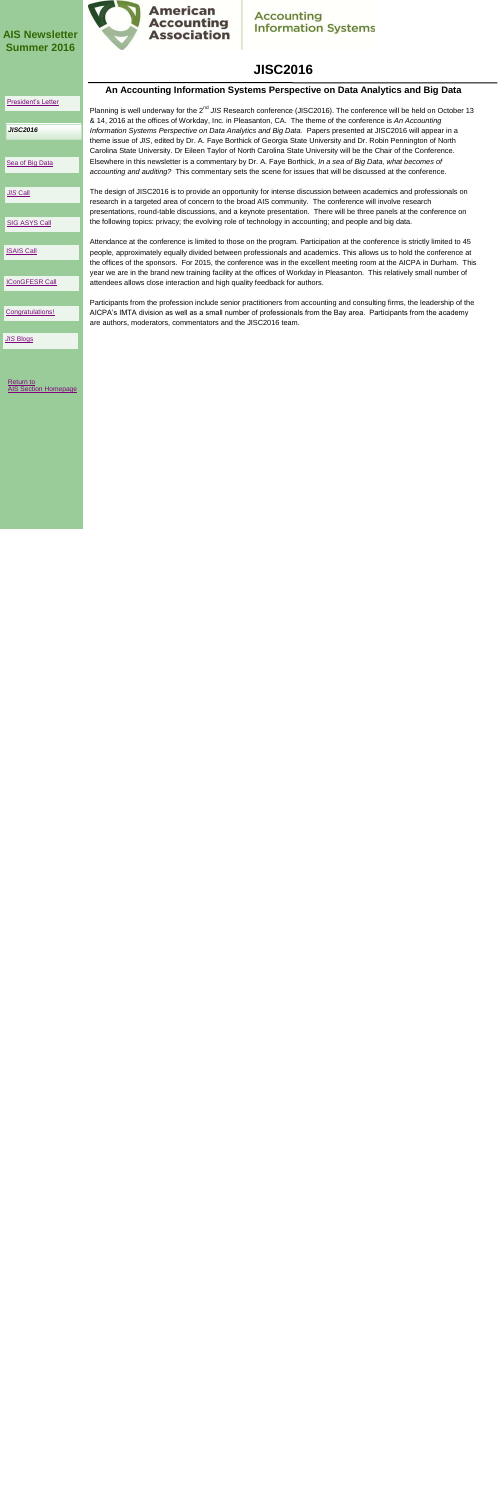# **JISC2016**

|                       | An Accounting Information Systems Perspective on Data Analytics and Big Data                                                                                                                                                                  |
|-----------------------|-----------------------------------------------------------------------------------------------------------------------------------------------------------------------------------------------------------------------------------------------|
| President's Letter    |                                                                                                                                                                                                                                               |
|                       | Planning is well underway for the 2 <sup>nd</sup> JIS Research conference (JISC2016). The conference will be held on October 13<br>& 14, 2016 at the offices of Workday, Inc. in Pleasanton, CA. The theme of the conference is An Accounting |
| <b>JISC2016</b>       | Information Systems Perspective on Data Analytics and Big Data. Papers presented at JISC2016 will appear in a<br>theme issue of JIS, edited by Dr. A. Faye Borthick of Georgia State University and Dr. Robin Pennington of North             |
|                       | Carolina State University. Dr Eileen Taylor of North Carolina State University will be the Chair of the Conference.                                                                                                                           |
| Sea of Big Data       | Elsewhere in this newsletter is a commentary by Dr. A. Faye Borthick, In a sea of Big Data, what becomes of<br>accounting and auditing? This commentary sets the scene for issues that will be discussed at the conference.                   |
|                       |                                                                                                                                                                                                                                               |
| <b>JIS Call</b>       | The design of JISC2016 is to provide an opportunity for intense discussion between academics and professionals on<br>research in a targeted area of concern to the broad AIS community. The conference will involve research                  |
|                       | presentations, round-table discussions, and a keynote presentation. There will be three panels at the conference on                                                                                                                           |
| <b>SIG ASYS Call</b>  | the following topics: privacy; the evolving role of technology in accounting; and people and big data.                                                                                                                                        |
|                       | Attendance at the conference is limited to those on the program. Participation at the conference is strictly limited to 45                                                                                                                    |
| <b>ISAIS Call</b>     | people, approximately equally divided between professionals and academics. This allows us to hold the conference at<br>the offices of the sponsors. For 2015, the conference was in the excellent meeting room at the AICPA in Durham. This   |
|                       | year we are in the brand new training facility at the offices of Workday in Pleasanton. This relatively small number of                                                                                                                       |
| <b>IConGFESR Call</b> | attendees allows close interaction and high quality feedback for authors.                                                                                                                                                                     |
|                       | Participants from the profession include senior practitioners from accounting and consulting firms, the leadership of the                                                                                                                     |
| Congratulations!      | AICPA's IMTA division as well as a small number of professionals from the Bay area. Participants from the academy                                                                                                                             |
|                       | are authors, moderators, commentators and the JISC2016 team.                                                                                                                                                                                  |
| <b>JIS Blogs</b>      |                                                                                                                                                                                                                                               |
|                       |                                                                                                                                                                                                                                               |
|                       |                                                                                                                                                                                                                                               |
|                       |                                                                                                                                                                                                                                               |

Return to **[AIS Section Homepage](http://www2.aaahq.org/infosys/index.cfm)** 

<span id="page-1-0"></span>

### **AIS Newsletter Summer 2016**



# **Accounting<br>Information Systems**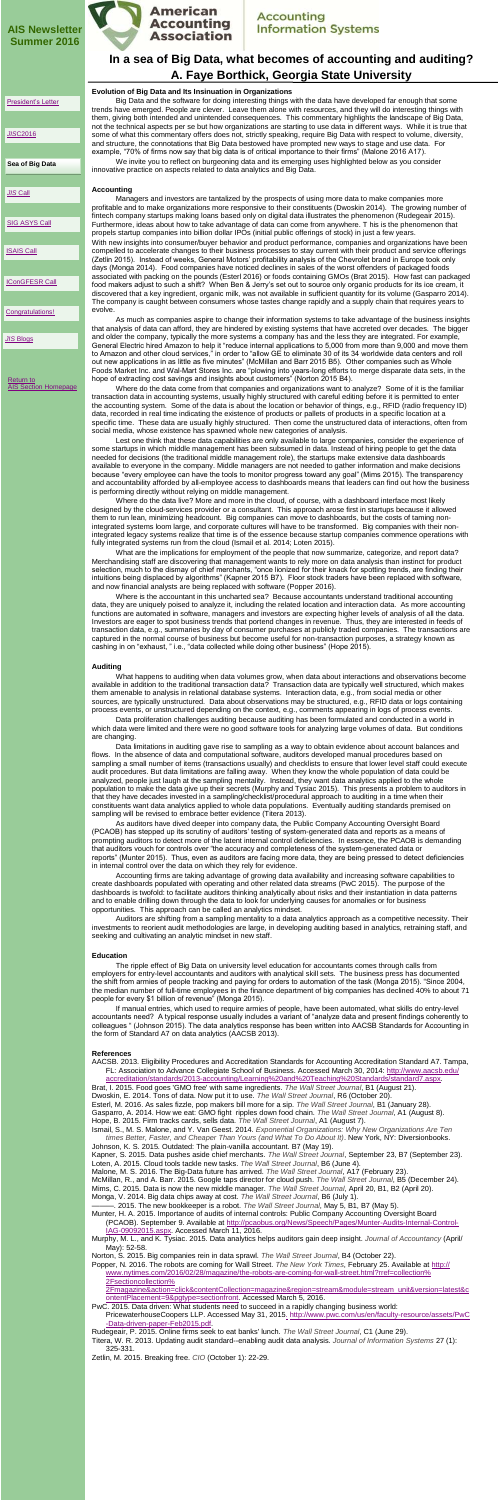## **In a sea of Big Data, what becomes of accounting and auditing? A. Faye Borthick, Georgia State University**

#### **Evolution of Big Data and Its Insinuation in Organizations**

Big Data and the software for doing interesting things with the data have developed far enough that some trends have emerged. People are clever. Leave them alone with resources, and they will do interesting things with them, giving both intended and unintended consequences. This commentary highlights the landscape of Big Data, not the technical aspects per se but how organizations are starting to use data in different ways. While it is true that some of what this commentary offers does not, strictly speaking, require Big Data with respect to volume, diversity, and structure, the connotations that Big Data bestowed have prompted new ways to stage and use data. For example, "70% of firms now say that big data is of critical importance to their firms" (Malone 2016 A17).

We invite you to reflect on burgeoning data and its emerging uses highlighted below as you consider innovative practice on aspects related to data analytics and Big Data.

#### **Accounting**

Managers and investors are tantalized by the prospects of using more data to make companies more profitable and to make organizations more responsive to their constituents (Dwoskin 2014). The growing number of fintech company startups making loans based only on digital data illustrates the phenomenon (Rudegeair 2015). Furthermore, ideas about how to take advantage of data can come from anywhere. T his is the phenomenon that propels startup companies into billion dollar IPOs (initial public offerings of stock) in just a few years.

With new insights into consumer/buyer behavior and product performance, companies and organizations have been compelled to accelerate changes to their business processes to stay current with their product and service offerings (Zetlin 2015). Instead of weeks, General Motors' profitability analysis of the Chevrolet brand in Europe took only days (Monga 2014). Food companies have noticed declines in sales of the worst offenders of packaged foods associated with packing on the pounds (Esterl 2016) or foods containing GMOs (Brat 2015). How fast can packaged food makers adjust to such a shift? When Ben & Jerry's set out to source only organic products for its ice cream, it discovered that a key ingredient, organic milk, was not available in sufficient quantity for its volume (Gasparro 2014). The company is caught between consumers whose tastes change rapidly and a supply chain that requires years to evolve.

As much as companies aspire to change their information systems to take advantage of the business insights that analysis of data can afford, they are hindered by existing systems that have accreted over decades. The bigger and older the company, typically the more systems a company has and the less they are integrated. For example, General Electric hired Amazon to help it "reduce internal applications to 5,000 from more than 9,000 and move them to Amazon and other cloud services," in order to "allow GE to eliminate 30 of its 34 worldwide data centers and roll out new applications in as little as five minutes" (McMillan and Barr 2015 B5). Other companies such as Whole Foods Market Inc. and Wal-Mart Stores Inc. are "plowing into years-long efforts to merge disparate data sets, in the hope of extracting cost savings and insights about customers" (Norton 2015 B4).

Where do the data come from that companies and organizations want to analyze? Some of it is the familiar transaction data in accounting systems, usually highly structured with careful editing before it is permitted to enter the accounting system. Some of the data is about the location or behavior of things, e.g., RFID (radio frequency ID) data, recorded in real time indicating the existence of products or pallets of products in a specific location at a specific time. These data are usually highly structured. Then come the unstructured data of interactions, often from social media, whose existence has spawned whole new categories of analysis.

Lest one think that these data capabilities are only available to large companies, consider the experience of some startups in which middle management has been subsumed in data. Instead of hiring people to get the data needed for decisions (the traditional middle management role), the startups make extensive data dashboards available to everyone in the company. Middle managers are not needed to gather information and make decisions because "every employee can have the tools to monitor progress toward any goal" (Mims 2015). The transparency and accountability afforded by all-employee access to dashboards means that leaders can find out how the business is performing directly without relying on middle management.

Where do the data live? More and more in the cloud, of course, with a dashboard interface most likely designed by the cloud-services provider or a consultant. This approach arose first in startups because it allowed them to run lean, minimizing headcount. Big companies can move to dashboards, but the costs of taming nonintegrated systems loom large, and corporate cultures will have to be transformed. Big companies with their nonintegrated legacy systems realize that time is of the essence because startup companies commence operations with fully integrated systems run from the cloud (Ismail et al. 2014; Loten 2015).

What are the implications for employment of the people that now summarize, categorize, and report data? Merchandising staff are discovering that management wants to rely more on data analysis than instinct for product selection, much to the dismay of chief merchants, "once lionized for their knack for spotting trends, are finding their intuitions being displaced by algorithms" (Kapner 2015 B7). Floor stock traders have been replaced with software, and now financial analysts are being replaced with software (Popper 2016).

Where is the accountant in this uncharted sea? Because accountants understand traditional accounting

data, they are uniquely poised to analyze it, including the related location and interaction data. As more accounting functions are automated in software, managers and investors are expecting higher levels of analysis of all the data. Investors are eager to spot business trends that portend changes in revenue. Thus, they are interested in feeds of transaction data, e.g., summaries by day of consumer purchases at publicly traded companies. The transactions are captured in the normal course of business but become useful for non-transaction purposes, a strategy known as cashing in on "exhaust, " i.e., "data collected while doing other business" (Hope 2015).

#### **Auditing**

What happens to auditing when data volumes grow, when data about interactions and observations become available in addition to the traditional transaction data? Transaction data are typically well structured, which makes them amenable to analysis in relational database systems. Interaction data, e.g., from social media or other sources, are typically unstructured. Data about observations may be structured, e.g., RFID data or logs containing process events, or unstructured depending on the context, e.g., comments appearing in logs of process events.

Data proliferation challenges auditing because auditing has been formulated and conducted in a world in which data were limited and there were no good software tools for analyzing large volumes of data. But conditions are changing.

Data limitations in auditing gave rise to sampling as a way to obtain evidence about account balances and flows. In the absence of data and computational software, auditors developed manual procedures based on sampling a small number of items (transactions usually) and checklists to ensure that lower level staff could execute audit procedures. But data limitations are falling away. When they know the whole population of data could be analyzed, people just laugh at the sampling mentality. Instead, they want data analytics applied to the whole population to make the data give up their secrets (Murphy and Tysiac 2015). This presents a problem to auditors in that they have decades invested in a sampling/checklist/procedural approach to auditing in a time when their constituents want data analytics applied to whole data populations. Eventually auditing standards premised on sampling will be revised to embrace better evidence (Titera 2013).

As auditors have dived deeper into company data, the Public Company Accounting Oversight Board (PCAOB) has stepped up its scrutiny of auditors' testing of system-generated data and reports as a means of prompting auditors to detect more of the latent internal control deficiencies. In essence, the PCAOB is demanding that auditors vouch for controls over "the accuracy and completeness of the system-generated data or reports" (Munter 2015). Thus, even as auditors are facing more data, they are being pressed to detect deficiencies in internal control over the data on which they rely for evidence.

Accounting firms are taking advantage of growing data availability and increasing software capabilities to create dashboards populated with operating and other related data streams (PwC 2015). The purpose of the dashboards is twofold: to facilitate auditors thinking analytically about risks and their instantiation in data patterns and to enable drilling down through the data to look for underlying causes for anomalies or for business opportunities. This approach can be called an analytics mindset.

Auditors are shifting from a sampling mentality to a data analytics approach as a competitive necessity. Their investments to reorient audit methodologies are large, in developing auditing based in analytics, retraining staff, and seeking and cultivating an analytic mindset in new staff.

#### **Education**

<span id="page-2-0"></span>The ripple effect of Big Data on university level education for accountants comes through calls from employers for entry-level accountants and auditors with analytical skill sets. The business press has documented the shift from armies of people tracking and paying for orders to automation of the task (Monga 2015). "Since 2004, the median number of full-time employees in the finance department of big companies has declined 40% to about 71 people for every \$1 billion of revenue" (Monga 2015).

If manual entries, which used to require armies of people, have been automated, what skills do entry-level accountants need? A typical response usually includes a variant of "analyze data and present findings coherently to colleagues " (Johnson 2015). The data analytics response has been written into AACSB Standards for Accounting in the form of Standard A7 on data analytics (AACSB 2013).

#### **References**

AACSB. 2013. Eligibility Procedures and Accreditation Standards for Accounting Accreditation Standard A7. Tampa, FL: Association to Advance Collegiate School of Business. Accessed March 30, 2014: [http://www.aacsb.edu/](http://www.aacsb.edu/accreditation/standards/2013-accounting/Learning%20and%20Teaching%20Standards/standard7.aspx) [accreditation/standards/2013-accounting/Learning%20and%20Teaching%20Standards/standard7.aspx.](http://www.aacsb.edu/accreditation/standards/2013-accounting/Learning%20and%20Teaching%20Standards/standard7.aspx)

Brat, I. 2015. Food goes 'GMO free' with same ingredients. *The Wall Street Journal*, B1 (August 21). Dwoskin, E. 2014. Tons of data. Now put it to use. *The Wall Street Journal*, R6 (October 20). Esterl, M. 2016. As sales fizzle, pop makers bill more for a sip. *The Wall Street Journal*, B1 (January 28). Gasparro, A. 2014. How we eat: GMO fight ripples down food chain. *The Wall Street Journal*, A1 (August 8). Hope, B. 2015. Firm tracks cards, sells data. *The Wall Street Journal*, A1 (August 7).

Ismail, S., M. S. Malone, and Y. Van Geest. 2014. *Exponential Organizations: Why New Organizations Are Ten times Better, Faster, and Cheaper Than Yours (and What To Do About It)*. New York, NY: Diversionbooks. Johnson, K. S. 2015. Outdated: The plain-vanilla accountant. B7 (May 19).

Kapner, S. 2015. Data pushes aside chief merchants. *The Wall Street Journal*, September 23, B7 (September 23). Loten, A. 2015. Cloud tools tackle new tasks. *The Wall Street Journal*, B6 (June 4).

Malone, M. S. 2016. The Big-Data future has arrived. *The Wall Street Journal*, A17 (February 23).

McMillan, R., and A. Barr. 2015. Google taps director for cloud push. *The Wall Street Journal*, B5 (December 24). Mims, C. 2015. Data is now the new middle manager. *The Wall Street Journal*, April 20, B1, B2 (April 20).

Monga, V. 2014. Big data chips away at cost. *The Wall Street Journal*, B6 (July 1).

- 
- ———. 2015. The new bookkeeper is a robot. *The Wall Street Journal*, May 5, B1, B7 (May 5).
- Munter, H. A. 2015. Importance of audits of internal controls: Public Company Accounting Oversight Board (PCAOB). September 9. Available at [http://pcaobus.org/News/Speech/Pages/Munter-Audits-Internal-Control-](http://pcaobus.org/News/Speech/Pages/Munter-Audits-Internal-Control-IAG-09092015.aspx)[IAG-09092015.aspx.](http://pcaobus.org/News/Speech/Pages/Munter-Audits-Internal-Control-IAG-09092015.aspx) Accessed March 11, 2016.
- Murphy, M. L., and K. Tysiac. 2015. Data analytics helps auditors gain deep insight. *Journal of Accountancy* (April/ May): 52-58.
- Norton, S. 2015. Big companies rein in data sprawl. *The Wall Street Journal*, B4 (October 22).
- Popper, N. 2016. The robots are coming for Wall Street. *The New York Times*, February 25. Available at [http://](http://www.nytimes.com/2016/02/28/magazine/the-robots-are-coming-for-wall-street.html?rref=collection%2Fsectioncollection%2Fmagazine&action=click&contentCollection=magazine®ion=stream&module=stream_unit&version=latest&contentPlacement=9&pgtype=sectionfront) [www.nytimes.com/2016/02/28/magazine/the-robots-are-coming-for-wall-street.html?rref=collection%](http://www.nytimes.com/2016/02/28/magazine/the-robots-are-coming-for-wall-street.html?rref=collection%2Fsectioncollection%2Fmagazine&action=click&contentCollection=magazine®ion=stream&module=stream_unit&version=latest&contentPlacement=9&pgtype=sectionfront) [2Fsectioncollection%](http://www.nytimes.com/2016/02/28/magazine/the-robots-are-coming-for-wall-street.html?rref=collection%2Fsectioncollection%2Fmagazine&action=click&contentCollection=magazine®ion=stream&module=stream_unit&version=latest&contentPlacement=9&pgtype=sectionfront)
	- [2Fmagazine&action=click&contentCollection=magazine&region=stream&module=stream\\_unit&version=latest&c](http://www.nytimes.com/2016/02/28/magazine/the-robots-are-coming-for-wall-street.html?rref=collection%2Fsectioncollection%2Fmagazine&action=click&contentCollection=magazine®ion=stream&module=stream_unit&version=latest&contentPlacement=9&pgtype=sectionfront) [ontentPlacement=9&pgtype=sectionfront.](http://www.nytimes.com/2016/02/28/magazine/the-robots-are-coming-for-wall-street.html?rref=collection%2Fsectioncollection%2Fmagazine&action=click&contentCollection=magazine®ion=stream&module=stream_unit&version=latest&contentPlacement=9&pgtype=sectionfront) Accessed March 5, 2016.
- PwC. 2015. Data driven: What students need to succeed in a rapidly changing business world: PricewaterhouseCoopers LLP. Accessed May 31, 2015[.](.%20http:/www.pwc.com/us/en/faculty-resource/assets/PwC-Data-driven-paper-Feb2015.pdf) [http://www.pwc.com/us/en/faculty-resource/assets/PwC](http://www.pwc.com/us/en/faculty-resource/assets/PwC-Data-driven-paper-Feb2015.pdf) [-Data-driven-paper-Feb2015.pdf.](http://www.pwc.com/us/en/faculty-resource/assets/PwC-Data-driven-paper-Feb2015.pdf)
- Rudegeair, P. 2015. Online firms seek to eat banks' lunch. *The Wall Street Journal*, C1 (June 29).
- Titera, W. R. 2013. Updating audit standard--enabling audit data analysis. *Journal of Information Systems* 27 (1): 325-331.
- Zetlin, M. 2015. Breaking free. *CIO* (October 1): 22-29.

[Return to](http://www2.aaahq.org/infosys/index.cfm)  [AIS Section Homepage](http://www2.aaahq.org/infosys/index.cfm)

### **AIS Newsletter Summer 2016**



### **Accounting Information Systems**

**Sea of Big Data**

[President's Letter](#page-0-0)

*JIS*[C2016](#page-1-0)

*JIS* [Call](#page-3-0)

**[SIG ASYS Call](#page-4-0)** 

[ISAIS Call](#page-5-0)

[IConGFESR Call](#page-6-0)

[Congratulations!](#page-7-0)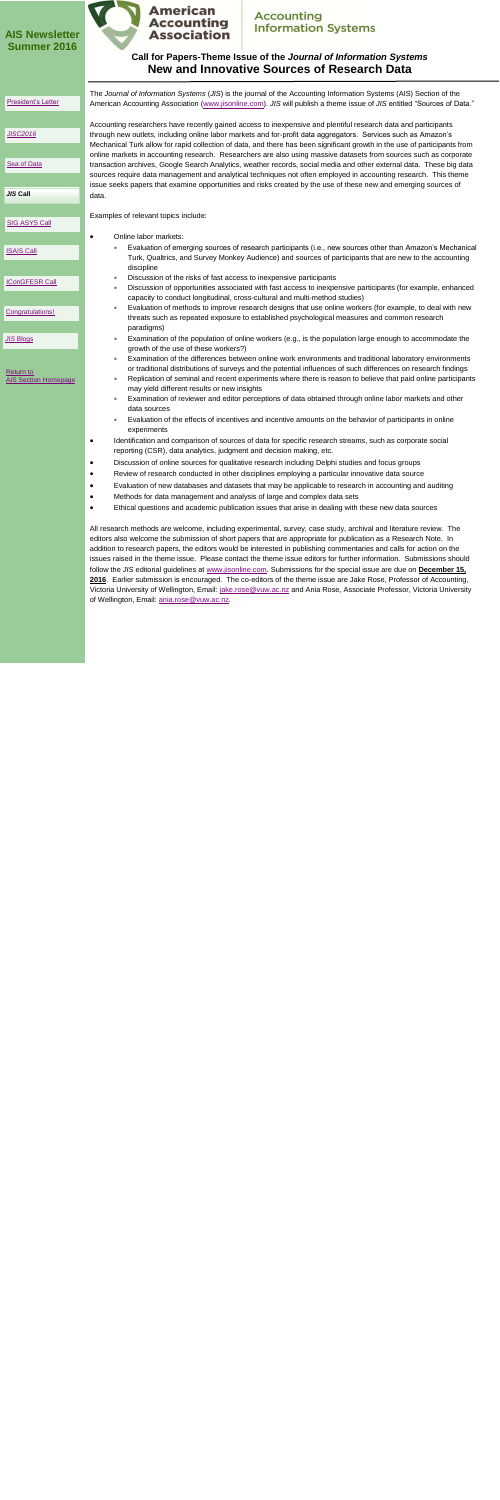### **Call for Papers-Theme Issue of the** *Journal of Information Systems* **New and Innovative Sources of Research Data**

The *Journal of Information Systems* (*JIS*) is the journal of the Accounting Information Systems (AIS) Section of the American Accounting Association ([www.jisonline.com\)](http://www.jisonline.com). *JIS* will publish a theme issue of *JIS* entitled "Sources of Data."

Accounting researchers have recently gained access to inexpensive and plentiful research data and participants through new outlets, including online labor markets and for-profit data aggregators. Services such as Amazon's Mechanical Turk allow for rapid collection of data, and there has been significant growth in the use of participants from online markets in accounting research. Researchers are also using massive datasets from sources such as corporate transaction archives, Google Search Analytics, weather records, social media and other external data. These big data sources require data management and analytical techniques not often employed in accounting research. This theme issue seeks papers that examine opportunities and risks created by the use of these new and emerging sources of data.

Examples of relevant topics include:

All research methods are welcome, including experimental, survey, case study, archival and literature review. The editors also welcome the submission of short papers that are appropriate for publication as a Research Note. In addition to research papers, the editors would be interested in publishing commentaries and calls for action on the issues raised in the theme issue. Please contact the theme issue editors for further information. Submissions should follow the *JIS* editorial guidelines at [www.jisonline.com.](http://www.jisonline.com) Submissions for the special issue are due on **December 15, 2016**. Earlier submission is encouraged. The co-editors of the theme issue are Jake Rose, Professor of Accounting, Victoria University of Wellington, Email: [jake.rose@vuw.ac.nz](mailto:jake.rose@vuw.ac.nz) and Ania Rose, Associate Professor, Victoria University

of Wellington, Email: ania.rose@vuw.ac.nz.

<span id="page-3-0"></span>

- Online labor markets:
	- Evaluation of emerging sources of research participants (i.e., new sources other than Amazon's Mechanical Turk, Qualtrics, and Survey Monkey Audience) and sources of participants that are new to the accounting discipline
	- Discussion of the risks of fast access to inexpensive participants
	- Discussion of opportunities associated with fast access to inexpensive participants (for example, enhanced capacity to conduct longitudinal, cross-cultural and multi-method studies)
	- Evaluation of methods to improve research designs that use online workers (for example, to deal with new threats such as repeated exposure to established psychological measures and common research paradigms)
	- Examination of the population of online workers (e.g., is the population large enough to accommodate the growth of the use of these workers?)
	- Examination of the differences between online work environments and traditional laboratory environments or traditional distributions of surveys and the potential influences of such differences on research findings
	- Replication of seminal and recent experiments where there is reason to believe that paid online participants may yield different results or new insights
	- Examination of reviewer and editor perceptions of data obtained through online labor markets and other data sources
	- Evaluation of the effects of incentives and incentive amounts on the behavior of participants in online experiments
- Identification and comparison of sources of data for specific research streams, such as corporate social reporting (CSR), data analytics, judgment and decision making, etc.
- Discussion of online sources for qualitative research including Delphi studies and focus groups
- Review of research conducted in other disciplines employing a particular innovative data source
- Evaluation of new databases and datasets that may be applicable to research in accounting and auditing
- Methods for data management and analysis of large and complex data sets
- Ethical questions and academic publication issues that arise in dealing with these new data sources

### **AIS Newsletter Summer 2016**



### **Accounting Information Systems**

#### [President's Letter](#page-0-0)

- [Sea of Data](#page-2-0)
- *JIS* **Call**

*[JISC2016](#page-1-0)*

[SIG ASYS Call](#page-4-0)

[ISAIS Call](#page-5-0)

[IConGFESR Call](#page-6-0)

[Congratulations!](#page-7-0)

*JIS* [Blogs](#page-8-0)

Return to **[AIS Section Homepage](http://www2.aaahq.org/infosys/index.cfm)**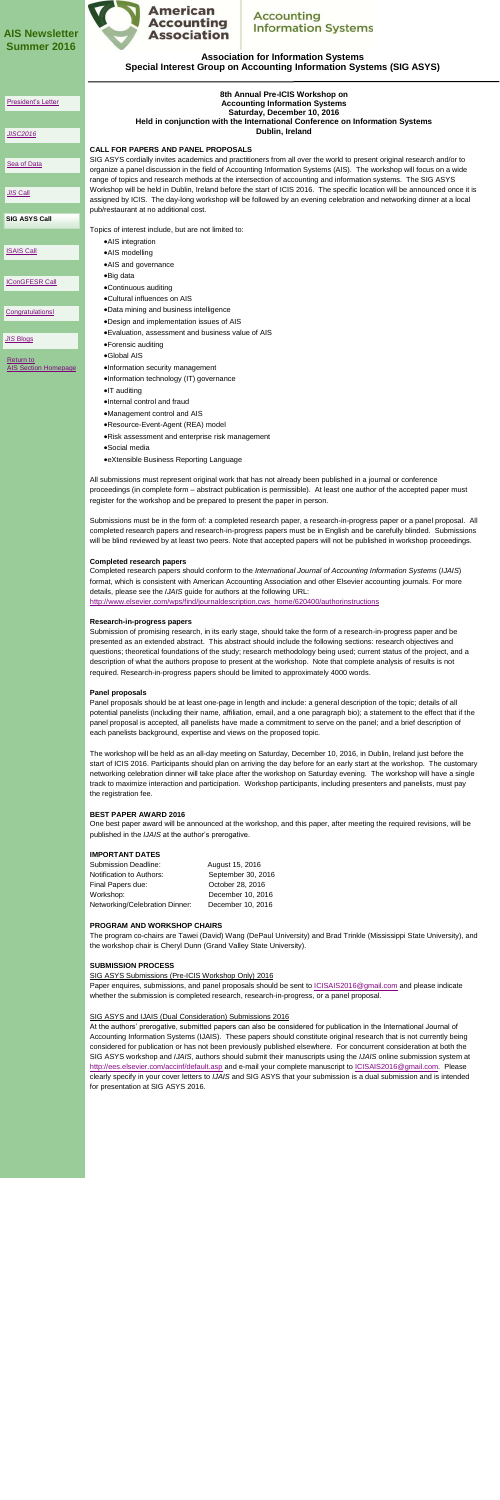**Association for Information Systems Special Interest Group on Accounting Information Systems (SIG ASYS)** 

[Return to](http://www2.aaahq.org/infosys/index.cfm)  [AIS Section Homepage](http://www2.aaahq.org/infosys/index.cfm)

### **8th Annual Pre-ICIS Workshop on Accounting Information Systems Saturday, December 10, 2016 Held in conjunction with the International Conference on Information Systems Dublin, Ireland**

### **CALL FOR PAPERS AND PANEL PROPOSALS**

SIG ASYS cordially invites academics and practitioners from all over the world to present original research and/or to organize a panel discussion in the field of Accounting Information Systems (AIS). The workshop will focus on a wide range of topics and research methods at the intersection of accounting and information systems. The SIG ASYS Workshop will be held in Dublin, Ireland before the start of ICIS 2016. The specific location will be announced once it is assigned by ICIS. The day-long workshop will be followed by an evening celebration and networking dinner at a local pub/restaurant at no additional cost.

Topics of interest include, but are not limited to:

- AIS integration
- AIS modelling
- AIS and governance
- Big data
- Continuous auditing
- Cultural influences on AIS
- Data mining and business intelligence
- Design and implementation issues of AIS
- Evaluation, assessment and business value of AIS
- Forensic auditing
- Global AIS
- Information security management
- •Information technology (IT) governance
- $\bullet$  T auditing
- Internal control and fraud
- Management control and AIS
- Resource-Event-Agent (REA) model
- Risk assessment and enterprise risk management
- Social media
- eXtensible Business Reporting Language

All submissions must represent original work that has not already been published in a journal or conference proceedings (in complete form – abstract publication is permissible). At least one author of the accepted paper must register for the workshop and be prepared to present the paper in person.

Submissions must be in the form of: a completed research paper, a research-in-progress paper or a panel proposal. All completed research papers and research-in-progress papers must be in English and be carefully blinded. Submissions will be blind reviewed by at least two peers. Note that accepted papers will not be published in workshop proceedings.

### **Completed research papers**

Completed research papers should conform to the *International Journal of Accounting Information Systems* (*IJAIS*) format, which is consistent with American Accounting Association and other Elsevier accounting journals. For more details, please see the *IJAIS* guide for authors at the following URL:

<span id="page-4-0"></span>Paper enquires, submissions, and panel proposals should be sent to **ICISAIS2016@gmail.com** and please indicate whether the submission is completed research, research-in-progress, or a panel proposal.

#### [http://www.elsevier.com/wps/find/journaldescription.cws\\_home/620400/authorinstructions](http://www.elsevier.com/wps/find/journaldescription.cws_home/620400/authorinstructions)

#### **Research-in-progress papers**

Submission of promising research, in its early stage, should take the form of a research-in-progress paper and be presented as an extended abstract. This abstract should include the following sections: research objectives and questions; theoretical foundations of the study; research methodology being used; current status of the project, and a description of what the authors propose to present at the workshop. Note that complete analysis of results is not required. Research-in-progress papers should be limited to approximately 4000 words.

### **Panel proposals**

Panel proposals should be at least one-page in length and include: a general description of the topic; details of all potential panelists (including their name, affiliation, email, and a one paragraph bio); a statement to the effect that if the panel proposal is accepted, all panelists have made a commitment to serve on the panel; and a brief description of each panelists background, expertise and views on the proposed topic.

The workshop will be held as an all-day meeting on Saturday, December 10, 2016, in Dublin, Ireland just before the start of ICIS 2016. Participants should plan on arriving the day before for an early start at the workshop. The customary networking celebration dinner will take place after the workshop on Saturday evening. The workshop will have a single track to maximize interaction and participation. Workshop participants, including presenters and panelists, must pay the registration fee.

### **BEST PAPER AWARD 2016**

One best paper award will be announced at the workshop, and this paper, after meeting the required revisions, will be published in the *IJAIS* at the author's prerogative.

### **IMPORTANT DATES**

| <b>Submission Deadline:</b>     | August 15, 2016    |
|---------------------------------|--------------------|
| <b>Notification to Authors:</b> | September 30, 2016 |
| Final Papers due:               | October 28, 2016   |
| Workshop:                       | December 10, 2016  |
| Networking/Celebration Dinner:  | December 10, 2016  |

### **PROGRAM AND WORKSHOP CHAIRS**

The program co-chairs are Tawei (David) Wang (DePaul University) and Brad Trinkle (Mississippi State University), and the workshop chair is Cheryl Dunn (Grand Valley State University).

### **SUBMISSION PROCESS**

SIG ASYS Submissions (Pre-ICIS Workshop Only) 2016

#### SIG ASYS and IJAIS (Dual Consideration) Submissions 2016

At the authors' prerogative, submitted papers can also be considered for publication in the International Journal of Accounting Information Systems (IJAIS). These papers should constitute original research that is not currently being considered for publication or has not been previously published elsewhere. For concurrent consideration at both the SIG ASYS workshop and *IJAIS*, authors should submit their manuscripts using the *IJAIS* online submission system at <http://ees.elsevier.com/accinf/default.asp> and e-mail your complete manuscript to [ICISAIS2016@gmail.com.](mailto:ICISAIS2016@gmail.com) Please clearly specify in your cover letters to *IJAIS* and SIG ASYS that your submission is a dual submission and is intended for presentation at SIG ASYS 2016.

### **AIS Newsletter Summer 2016**



### **Accounting Information Systems**

**[SIG ASYS Call](#page-3-0)**

#### [President's Letter](#page-0-0)

*[JISC2016](#page-1-0)*

### **[Sea of Data](#page-2-0)**

*JIS* [Call](#page-3-0)

[ISAIS Call](#page-5-0)

[IConGFESR Call](#page-6-0)

**[Congratulationsl](#page-7-0)**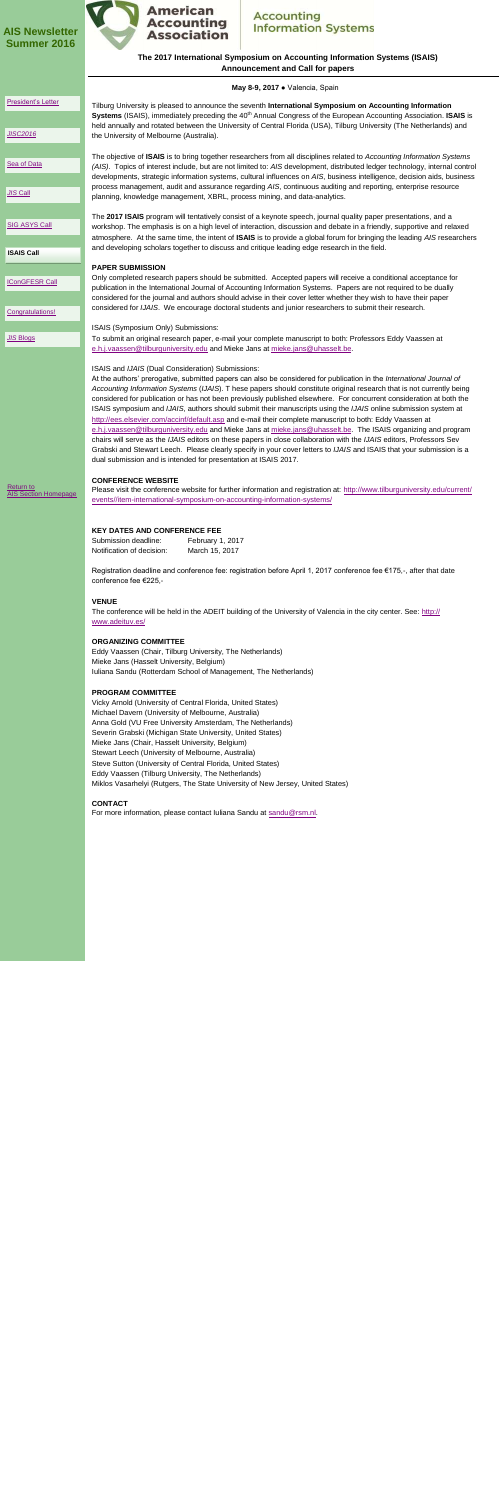### **The 2017 International Symposium on Accounting Information Systems (ISAIS) Announcement and Call for papers**

The conference will be held in the ADEIT building of the University of Valencia in the city center. See: [http://](http://www.adeituv.es/) [www.adeituv.es/](http://www.adeituv.es/)

|                                                 | May 8-9, 2017 . Valencia, Spain                                                                                                                                                                                                                                                                                                                                                                                                                                                                                                                                                                                                                                                                                                                                                                                                                                                                                                                                                                                                                                                                     |
|-------------------------------------------------|-----------------------------------------------------------------------------------------------------------------------------------------------------------------------------------------------------------------------------------------------------------------------------------------------------------------------------------------------------------------------------------------------------------------------------------------------------------------------------------------------------------------------------------------------------------------------------------------------------------------------------------------------------------------------------------------------------------------------------------------------------------------------------------------------------------------------------------------------------------------------------------------------------------------------------------------------------------------------------------------------------------------------------------------------------------------------------------------------------|
| President's Letter<br><b>JISC2016</b>           | Tilburg University is pleased to announce the seventh International Symposium on Accounting Information<br>Systems (ISAIS), immediately preceding the 40 <sup>th</sup> Annual Congress of the European Accounting Association. ISAIS is<br>held annually and rotated between the University of Central Florida (USA), Tilburg University (The Netherlands) and<br>the University of Melbourne (Australia).                                                                                                                                                                                                                                                                                                                                                                                                                                                                                                                                                                                                                                                                                          |
| Sea of Data<br><b>JIS Call</b>                  | The objective of ISAIS is to bring together researchers from all disciplines related to Accounting Information Systems<br>(AIS). Topics of interest include, but are not limited to: AIS development, distributed ledger technology, internal control<br>developments, strategic information systems, cultural influences on AIS, business intelligence, decision aids, business<br>process management, audit and assurance regarding AIS, continuous auditing and reporting, enterprise resource<br>planning, knowledge management, XBRL, process mining, and data-analytics.                                                                                                                                                                                                                                                                                                                                                                                                                                                                                                                      |
| <b>SIG ASYS Call</b><br><b>ISAIS Call</b>       | The 2017 ISAIS program will tentatively consist of a keynote speech, journal quality paper presentations, and a<br>workshop. The emphasis is on a high level of interaction, discussion and debate in a friendly, supportive and relaxed<br>atmosphere. At the same time, the intent of ISAIS is to provide a global forum for bringing the leading AIS researchers<br>and developing scholars together to discuss and critique leading edge research in the field.                                                                                                                                                                                                                                                                                                                                                                                                                                                                                                                                                                                                                                 |
| <b>IConGFESR Call</b><br>Congratulations!       | <b>PAPER SUBMISSION</b><br>Only completed research papers should be submitted. Accepted papers will receive a conditional acceptance for<br>publication in the International Journal of Accounting Information Systems. Papers are not required to be dually<br>considered for the journal and authors should advise in their cover letter whether they wish to have their paper<br>considered for IJAIS. We encourage doctoral students and junior researchers to submit their research.                                                                                                                                                                                                                                                                                                                                                                                                                                                                                                                                                                                                           |
| <b>JIS Blogs</b>                                | ISAIS (Symposium Only) Submissions:<br>To submit an original research paper, e-mail your complete manuscript to both: Professors Eddy Vaassen at<br>e.h.j.vaassen@tilburguniversity.edu and Mieke Jans at mieke.jans@uhasselt.be.                                                                                                                                                                                                                                                                                                                                                                                                                                                                                                                                                                                                                                                                                                                                                                                                                                                                   |
|                                                 | ISAIS and IJAIS (Dual Consideration) Submissions:<br>At the authors' prerogative, submitted papers can also be considered for publication in the <i>International Journal of</i><br>Accounting Information Systems (IJAIS). T hese papers should constitute original research that is not currently being<br>considered for publication or has not been previously published elsewhere. For concurrent consideration at both the<br>ISAIS symposium and IJAIS, authors should submit their manuscripts using the IJAIS online submission system at<br>http://ees.elsevier.com/accinf/default.asp and e-mail their complete manuscript to both: Eddy Vaassen at<br>e.h.j.vaassen@tilburguniversity.edu and Mieke Jans at mieke.jans@uhasselt.be. The ISAIS organizing and program<br>chairs will serve as the IJAIS editors on these papers in close collaboration with the IJAIS editors, Professors Sev<br>Grabski and Stewart Leech. Please clearly specify in your cover letters to IJAIS and ISAIS that your submission is a<br>dual submission and is intended for presentation at ISAIS 2017. |
| <b>Return to</b><br><b>AIS Section Homepage</b> | <b>CONFERENCE WEBSITE</b><br>Please visit the conference website for further information and registration at: http://www.tilburguniversity.edu/current/<br>events//item-international-symposium-on-accounting-information-systems/                                                                                                                                                                                                                                                                                                                                                                                                                                                                                                                                                                                                                                                                                                                                                                                                                                                                  |

### **KEY DATES AND CONFERENCE FEE**

| Submission deadline:      | February 1, 2017 |
|---------------------------|------------------|
| Notification of decision: | March 15, 2017   |

Registration deadline and conference fee: registration before April 1, 2017 conference fee €175,-, after that date conference fee €225,-

#### **VENUE**

### **ORGANIZING COMMITTEE**

Eddy Vaassen (Chair, Tilburg University, The Netherlands) Mieke Jans (Hasselt University, Belgium) Iuliana Sandu (Rotterdam School of Management, The Netherlands)

#### **PROGRAM COMMITTEE**

Vicky Arnold (University of Central Florida, United States) Michael Davern (University of Melbourne, Australia) Anna Gold (VU Free University Amsterdam, The Netherlands) Severin Grabski (Michigan State University, United States) Mieke Jans (Chair, Hasselt University, Belgium) Stewart Leech (University of Melbourne, Australia) Steve Sutton (University of Central Florida, United States) Eddy Vaassen (Tilburg University, The Netherlands) Miklos Vasarhelyi (Rutgers, The State University of New Jersey, United States)

### **CONTACT**

<span id="page-5-0"></span>For more information, please contact Iuliana Sandu at sandu@rsm.nl.

### **AIS Newsletter Summer 2016**



### **Accounting Information Systems**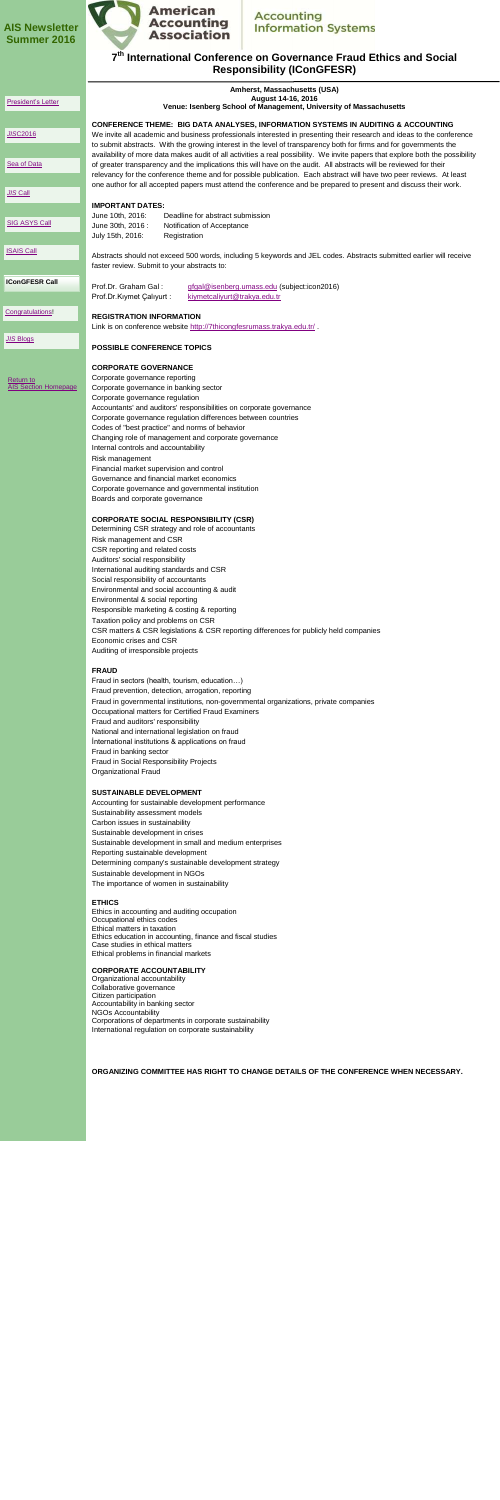### **7 th International Conference on Governance Fraud Ethics and Social Responsibility (IConGFESR)**

### **AIS Newsletter Summer 2016**



### **Accounting Information Systems**

|                                          | Amherst, Massachusetts (USA)                                                                                                                                                                                                                |
|------------------------------------------|---------------------------------------------------------------------------------------------------------------------------------------------------------------------------------------------------------------------------------------------|
| President's Letter                       | August 14-16, 2016<br>Venue: Isenberg School of Management, University of Massachusetts                                                                                                                                                     |
|                                          | <b>CONFERENCE THEME: BIG DATA ANALYSES, INFORMATION SYSTEMS IN AUDITING &amp; ACCOUNTING</b>                                                                                                                                                |
| <b>JISC2016</b>                          | We invite all academic and business professionals interested in presenting their research and ideas to the conference<br>to submit abstracts. With the growing interest in the level of transparency both for firms and for governments the |
| Sea of Data                              | availability of more data makes audit of all activities a real possibility. We invite papers that explore both the possibility                                                                                                              |
|                                          | of greater transparency and the implications this will have on the audit. All abstracts will be reviewed for their<br>relevancy for the conference theme and for possible publication. Each abstract will have two peer reviews. At least   |
| <b>JIS Call</b>                          | one author for all accepted papers must attend the conference and be prepared to present and discuss their work.                                                                                                                            |
|                                          | <b>IMPORTANT DATES:</b>                                                                                                                                                                                                                     |
| <b>SIG ASYS Call</b>                     | June 10th, 2016:<br>Deadline for abstract submission<br>June 30th, 2016 :<br>Notification of Acceptance                                                                                                                                     |
|                                          | July 15th, 2016:<br>Registration                                                                                                                                                                                                            |
| <b>ISAIS Call</b>                        | Abstracts should not exceed 500 words, including 5 keywords and JEL codes. Abstracts submitted earlier will receive                                                                                                                         |
|                                          | faster review. Submit to your abstracts to:                                                                                                                                                                                                 |
| <b>IConGFESR Call</b>                    | Prof.Dr. Graham Gal:<br>gfgal@isenberg.umass.edu (subject:icon2016)                                                                                                                                                                         |
|                                          | Prof.Dr.Kıymet Çalıyurt:<br>kiymetcaliyurt@trakya.edu.tr                                                                                                                                                                                    |
| Congratulations!                         | <b>REGISTRATION INFORMATION</b>                                                                                                                                                                                                             |
| <b>JIS Blogs</b>                         | Link is on conference website http://7thicongfesrumass.trakya.edu.tr/.                                                                                                                                                                      |
|                                          | <b>POSSIBLE CONFERENCE TOPICS</b>                                                                                                                                                                                                           |
|                                          | <b>CORPORATE GOVERNANCE</b>                                                                                                                                                                                                                 |
| Return to<br><b>AIS Section Homepage</b> | Corporate governance reporting                                                                                                                                                                                                              |
|                                          | Corporate governance in banking sector<br>Corporate governance regulation                                                                                                                                                                   |
|                                          | Accountants' and auditors' responsibilities on corporate governance                                                                                                                                                                         |
|                                          | Corporate governance regulation differences between countries<br>Codes of "best practice" and norms of behavior                                                                                                                             |
|                                          | Changing role of management and corporate governance                                                                                                                                                                                        |
|                                          | Internal controls and accountability                                                                                                                                                                                                        |
|                                          | Risk management<br>Financial market supervision and control                                                                                                                                                                                 |
|                                          | Governance and financial market economics                                                                                                                                                                                                   |
|                                          | Corporate governance and governmental institution                                                                                                                                                                                           |
|                                          | Boards and corporate governance                                                                                                                                                                                                             |
|                                          | <b>CORPORATE SOCIAL RESPONSIBILITY (CSR)</b>                                                                                                                                                                                                |
|                                          | Determining CSR strategy and role of accountants<br>Risk management and CSR                                                                                                                                                                 |
|                                          | CSR reporting and related costs                                                                                                                                                                                                             |
|                                          | Auditors' social responsibility                                                                                                                                                                                                             |
|                                          | International auditing standards and CSR<br>Social responsibility of accountants                                                                                                                                                            |
|                                          |                                                                                                                                                                                                                                             |

Environmental and social accounting & audit

Environmental & social reporting Responsible marketing & costing & reporting Taxation policy and problems on CSR CSR matters & CSR legislations & CSR reporting differences for publicly held companies Economic crises and CSR Auditing of irresponsible projects

### **FRAUD**

Fraud in sectors (health, tourism, education…) Fraud prevention, detection, arrogation, reporting Fraud in governmental institutions, non-governmental organizations, private companies Occupational matters for Certified Fraud Examiners Fraud and auditors' responsibility National and international legislation on fraud İnternational institutions & applications on fraud Fraud in banking sector Fraud in Social Responsibility Projects Organizational Fraud

#### **SUSTAINABLE DEVELOPMENT**

Accounting for sustainable development performance Sustainability assessment models Carbon issues in sustainability Sustainable development in crises Sustainable development in small and medium enterprises Reporting sustainable development Determining company's sustainable development strategy Sustainable development in NGOs The importance of women in sustainability

#### **ETHICS**

Ethics in accounting and auditing occupation Occupational ethics codes Ethical matters in taxation Ethics education in accounting, finance and fiscal studies Case studies in ethical matters Ethical problems in financial markets

#### **CORPORATE ACCOUNTABILITY**

<span id="page-6-0"></span>Organizational accountability Collaborative governance Citizen participation Accountability in banking sector NGOs Accountability Corporations of departments in corporate sustainability International regulation on corporate sustainability

**ORGANIZING COMMITTEE HAS RIGHT TO CHANGE DETAILS OF THE CONFERENCE WHEN NECESSARY.**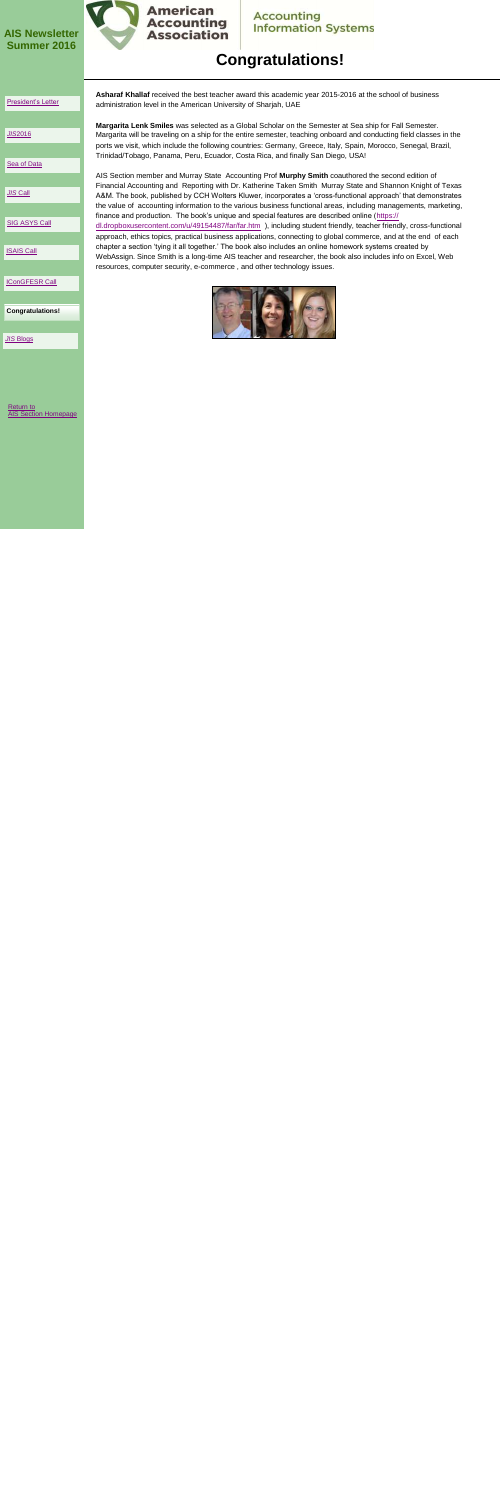# **Congratulations!**

[Return to](http://www2.aaahq.org/infosys/index.cfm)  [AIS Section Homepage](http://www2.aaahq.org/infosys/index.cfm)

### **AIS Newsletter Summer 2016**



# **Accounting<br>Information Systems**

**Congratulations!**

#### [President's Letter](#page-0-0)

*JIS*[2016](#page-1-0)

### [Sea of Data](#page-2-0)

### *JIS* [Call](#page-3-0)

[SIG ASYS Call](#page-4-0)

[ISAIS Call](#page-5-0)

[IConGFESR Call](#page-6-0)

*JIS* [Blogs](#page-8-0) 

**Asharaf Khallaf** received the best teacher award this academic year 2015-2016 at the school of business administration level in the American University of Sharjah, UAE

**Margarita Lenk Smiles** was selected as a Global Scholar on the Semester at Sea ship for Fall Semester. Margarita will be traveling on a ship for the entire semester, teaching onboard and conducting field classes in the ports we visit, which include the following countries: Germany, Greece, Italy, Spain, Morocco, Senegal, Brazil, Trinidad/Tobago, Panama, Peru, Ecuador, Costa Rica, and finally San Diego, USA!

AIS Section member and Murray State Accounting Prof **Murphy Smith** coauthored the second edition of Financial Accounting and Reporting with Dr. Katherine Taken Smith Murray State and Shannon Knight of Texas A&M. The book, published by CCH Wolters Kluwer, incorporates a 'cross-functional approach' that demonstrates the value of accounting information to the various business functional areas, including managements, marketing, finance and production. The book's unique and special features are described online ([https://](https://dl.dropboxusercontent.com/u/49154487/far/far.htm) [dl.dropboxusercontent.com/u/49154487/far/far.htm](https://dl.dropboxusercontent.com/u/49154487/far/far.htm) ), including student friendly, teacher friendly, cross-functional approach, ethics topics, practical business applications, connecting to global commerce, and at the end of each chapter a section 'tying it all together.' The book also includes an online homework systems created by WebAssign. Since Smith is a long-time AIS teacher and researcher, the book also includes info on Excel, Web resources, computer security, e-commerce , and other technology issues.



<span id="page-7-0"></span>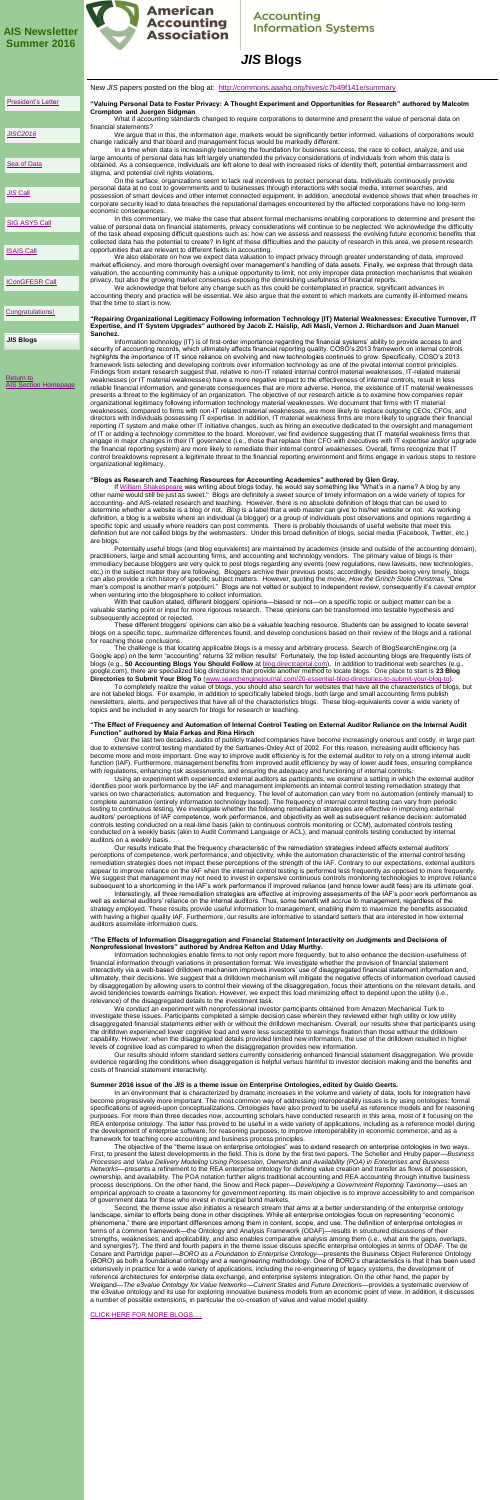other name would still be just as sweet." Blogs are definitely a sweet source of timely information on a wide variety of topics for accounting- and AIS-related research and teaching. However, there is no absolute definition of blogs that can be used to determine whether a website is a blog or not. *Blog* is a label that a web master can give to his/her website or not. As working definition, a blog is a website where an individual (a blogger) or a group of individuals post observations and opinions regarding a specific topic and usually where readers can post comments. There is probably thousands of useful website that meet this definition but are not called blogs by the webmasters. Under this broad definition of blogs, social media (Facebook, Twitter, etc.) are blogs.

Potentially useful blogs (and blog equivalents) are maintained by academics (inside and outside of the accounting domain), practitioners, large and small accounting firms, and accounting and technology vendors. The primary value of blogs is their immediacy because bloggers are very quick to post blogs regarding any events (new regulations, new lawsuits, new technologies, etc.) in the subject matter they are following. Bloggers archive their previous posts; accordingly, besides being very timely, blogs can also provide a rich history of specific subject matters. However, quoting the movie, *How the Grinch Stole Christmas*, "One man's compost is another man's potpourri." Blogs are not vetted or subject to independent review, consequently it's *caveat emptor* when venturing into the blogosphere to collect information.

With that caution stated, different bloggers' opinions—biased or not—on a specific topic or subject matter can be a valuable starting point or input for more rigorous research. These opinions can be transformed into testable hypothesis and subsequently accepted or rejected.

These different bloggers' opinions can also be a valuable teaching resource. Students can be assigned to locate several blogs on a specific topic, summarize differences found, and develop conclusions based on their review of the blogs and a rational for reaching those conclusions.

The challenge is that locating applicable blogs is a messy and arbitrary process. Search of BlogSearchEngine.org (a Google app) on the term "accounting" returns 32 million results! Fortunately, the top listed accounting blogs are frequently lists of blogs (e.g., **50 Accounting Blogs You Should Follow** at [blog.directcapital.com\)](http://blog.directcapital.com). In addition to traditional web searches (e.g., google.com), there are specialized blog directories that provide another method to locate blogs. One place to start is **23 Blog Directories to Submit Your Blog To** [\(www.searchenginejournal.com/20-essential-blog-directories-to-submit-your-blog-to\).](http://www.searchenginejournal.com/20-essential-blog-directories-to-submit-your-blog-to)

To completely realize the value of blogs, you should also search for websites that have all the characteristics of blogs, but are not labeled blogs. For example, in addition to specifically labeled blogs, both large and small accounting firms publish newsletters, alerts, and perspectives that have all of the characteristics blogs. These blog-equivalents cover a wide variety of topics and be included in any search for blogs for research or teaching.

#### **"The Effect of Frequency and Automation of Internal Control Testing on External Auditor Reliance on the Internal Audit Function" authored by Maia Farkas and Rina Hirsch**

New *JIS* papers posted on the blog at: <http://commons.aaahq.org/hives/c7b49f141e/summary> **"Valuing Personal Data to Foster Privacy: A Thought Experiment and Opportunities for Research" authored by Malcolm Crompton and Juergen Sidgman** What if accounting standards changed to require corporations to determine and present the value of personal data on financial statements? We argue that in this, the information age, markets would be significantly better informed, valuations of corporations would change radically and that board and management focus would be markedly different. In a time when data is increasingly becoming the foundation for business success, the race to collect, analyze, and use large amounts of personal data has left largely unattended the privacy considerations of individuals from whom this data is obtained. As a consequence, individuals are left alone to deal with increased risks of identity theft, potential embarrassment and stigma, and potential civil rights violations. On the surface, organizations seem to lack real incentives to protect personal data. Individuals continuously provide personal data at no cost to governments and to businesses through interactions with social media, Internet searches, and possession of smart devices and other internet connected equipment. In addition, anecdotal evidence shows that when breaches in corporate security lead to data breaches the reputational damages encountered by the affected corporations have no long-term economic consequences. In this commentary, we make the case that absent formal mechanisms enabling corporations to determine and present the value of personal data on financial statements, privacy considerations will continue to be neglected. We acknowledge the difficulty of the task ahead exposing difficult questions such as: how can we assess and reassess the evolving future economic benefits that collected data has the potential to create? In light of these difficulties and the paucity of research in this area, we present research opportunities that are relevant to different fields in accounting. We also elaborate on how we expect data valuation to impact privacy through greater understanding of data, improved market efficiency, and more thorough oversight over management's handling of data assets. Finally, we express that through data valuation, the accounting community has a unique opportunity to limit, not only improper data protection mechanisms that weaken privacy, but also the growing market consensus exposing the diminishing usefulness of financial reports. We acknowledge that before any change such as this could be contemplated in practice, significant advances in accounting theory and practice will be essential. We also argue that the extent to which markets are currently ill-informed means that the time to start is now. **"Repairing Organizational Legitimacy Following Information Technology (IT) Material Weaknesses: Executive Turnover, IT Expertise, and IT System Upgrades" authored by Jacob Z. Haislip, Adi Masli, Vernon J. Richardson and Juan Manuel Sanchez.**  Information technology (IT) is of first-order importance regarding the financial systems' ability to provide access to and security of accounting records, which ultimately affects financial reporting quality. COSO's 2013 framework on internal controls highlights the importance of IT since reliance on evolving and new technologies continues to grow. Specifically, COSO's 2013 framework lists selecting and developing controls over information technology as one of the pivotal internal control principles. Findings from extant research suggest that, relative to non-IT related internal control material weaknesses, IT-related material weaknesses (or IT material weaknesses) have a more negative impact to the effectiveness of internal controls, result in less reliable financial information, and generate consequences that are more adverse. Hence, the existence of IT material weaknesses presents a threat to the legitimacy of an organization. The objective of our research article is to examine how companies repair organizational legitimacy following information technology material weaknesses. We document that firms with IT material weaknesses, compared to firms with non-IT related material weaknesses, are more likely to replace outgoing CEOs, CFOs, and directors with individuals possessing IT expertise. In addition, IT material weakness firms are more likely to upgrade their financial reporting IT system and make other IT initiative changes, such as hiring an executive dedicated to the oversight and management of IT or adding a technology committee to the board. Moreover, we find evidence suggesting that IT material weakness firms that engage in major changes in their IT governance (i.e., those that replace their CFO with executives with IT expertise and/or upgrade the financial reporting system) are more likely to remediate their internal control weaknesses. Overall, firms recognize that IT control breakdowns represent a legitimate threat to the financial reporting environment and firms engage in various steps to restore organizational legitimacy. **"Blogs as Research and Teaching Resources for Accounting Academics" authored by Glen Gray.** If [William Shakespeare](https://en.wikipedia.org/wiki/William_Shakespeare) was writing about blogs today, he would say something like "What's in a name? A blog by any [Return to](http://www2.aaahq.org/infosys/index.cfm)  [AIS Section Homepage](http://www2.aaahq.org/infosys/index.cfm) *JIS* **Blogs** [President's Letter](#page-0-0) *JIS* [Call](#page-3-0) *[JISC2016](#page-1-0)* **[Sea of Data](#page-2-0)** [ISAIS Call](#page-5-0) **[SIG ASYS Call](#page-4-0)** [IConGFESR Call](#page-6-0) [Congratulations!](#page-7-0)

> Over the last two decades, audits of publicly traded companies have become increasingly onerous and costly, in large part due to extensive control testing mandated by the Sarbanes-Oxley Act of 2002. For this reason, increasing audit efficiency has become more and more important. One way to improve audit efficiency is for the external auditor to rely on a strong internal audit function (IAF). Furthermore, management benefits from improved audit efficiency by way of lower audit fees, ensuring compliance with regulations, enhancing risk assessments, and ensuring the adequacy and functioning of internal controls.

> Using an experiment with experienced external auditors as participants, we examine a setting in which the external auditor identifies poor work performance by the IAF and management implements an internal control testing remediation strategy that varies on two characteristics: automation and frequency. The level of automation can vary from no automation (entirely manual) to complete automation (entirely information technology based). The frequency of internal control testing can vary from periodic testing to continuous testing. We investigate whether the following remediation strategies are effective in improving external auditors' perceptions of IAF competence, work performance, and objectivity as well as subsequent reliance decision: automated controls testing conducted on a real-time basis (akin to continuous controls monitoring or CCM), automated controls testing conducted on a weekly basis (akin to Audit Command Language or ACL), and manual controls testing conducted by internal auditors on a weekly basis.

> Our results indicate that the frequency characteristic of the remediation strategies indeed affects external auditors' perceptions of competence, work performance, and objectivity, while the automation characteristic of the internal control testing remediation strategies does not impact these perceptions of the strength of the IAF. Contrary to our expectations, external auditors appear to improve reliance on the IAF when the internal control testing is performed less frequently as opposed to more frequently. We suggest that management may not need to invest in expensive continuous controls monitoring technologies to improve reliance subsequent to a shortcoming in the IAF's work performance if improved reliance (and hence lower audit fees) are its ultimate goal.

> Interestingly, all three remediation strategies are effective at improving assessments of the IAF's poor work performance as well as external auditors' reliance on the internal auditors. Thus, some benefit will accrue to management, regardless of the strategy employed. These results provide useful information to management, enabling them to maximize the benefits associated with having a higher quality IAF. Furthermore, our results are informative to standard setters that are interested in how external auditors assimilate information cues.

#### **"The Effects of Information Disaggregation and Financial Statement Interactivity on Judgments and Decisions of Nonprofessional Investors" authored by Andrea Kelton and Uday Murthy.**

<span id="page-8-0"></span>Information technologies enable firms to not only report more frequently, but to also enhance the decision-usefulness of financial information through variations in presentation format. We investigate whether the provision of financial statement interactivity via a web-based drilldown mechanism improves investors' use of disaggregated financial statement information and, ultimately, their decisions. We suggest that a drilldown mechanism will mitigate the negative effects of information overload caused by disaggregation by allowing users to control their viewing of the disaggregation, focus their attentions on the relevant details, and avoid tendencies towards earnings fixation. However, we expect this load minimizing effect to depend upon the utility (i.e., relevance) of the disaggregated details to the investment task.

We conduct an experiment with nonprofessional investor participants obtained from Amazon Mechanical Turk to investigate these issues. Participants completed a simple decision case wherein they reviewed either high utility or low utility disaggregated financial statements either with or without the drilldown mechanism. Overall, our results show that participants using the drilldown experienced lower cognitive load and were less susceptible to earnings fixation than those without the drilldown capability. However, when the disaggregated details provided limited new information, the use of the drilldown resulted in higher levels of cognitive load as compared to when the disaggregation provides new information.

Our results should inform standard setters currently considering enhanced financial statement disaggregation. We provide evidence regarding the conditions when disaggregation is helpful versus harmful to investor decision making and the benefits and costs of financial statement interactivity.

#### **Summer 2016 issue of the** *JIS* **is a theme issue on Enterprise Ontologies, edited by Guido Geerts.**

In an environment that is characterized by dramatic increases in the volume and variety of data, tools for integration have become progressively more important. The most common way of addressing interoperability issues is by using ontologies: formal specifications of agreed-upon conceptualizations. Ontologies have also proved to be useful as reference models and for reasoning purposes. For more than three decades now, accounting scholars have conducted research in this area, most of it focusing on the REA enterprise ontology. The latter has proved to be useful in a wide variety of applications, including as a reference model during the development of enterprise software, for reasoning purposes, to improve interoperability in economic commerce, and as a framework for teaching core accounting and business process principles.

The objective of the "theme issue on enterprise ontologies" was to extend research on enterprise ontologies in two ways. First, to present the latest developments in the field. This is done by the first two papers. The Scheller and Hruby paper—*Business Processes and Value Delivery Modeling Using Possession, Ownership and Availability (POA) in Enterprises and Business Networks*—presents a refinement to the REA enterprise ontology for defining value creation and transfer as flows of possession, ownership, and availability. The POA notation further aligns traditional accounting and REA accounting through intuitive business process descriptions. On the other hand, the Snow and Reck paper—*Developing a Government Reporting Taxonomy*—uses an empirical approach to create a taxonomy for government reporting. Its main objective is to improve accessibility to and comparison of government data for those who invest in municipal bond markets. Second, the theme issue also initiates a research stream that aims at a better understanding of the enterprise ontology landscape, similar to efforts being done in other disciplines. While all enterprise ontologies focus on representing "economic phenomena," there are important differences among them in content, scope, and use. The definition of enterprise ontologies in terms of a common framework—the Ontology and Analysis Framework (ODAF)—results in structured discussions of their strengths, weaknesses, and applicability, and also enables comparative analysis among them (i.e., what are the gaps, overlaps, and synergies?). The third and fourth papers in the theme issue discuss specific enterprise ontologies in terms of ODAF. The de Cesare and Partridge paper—*BORO as a Foundation to Enterprise Ontology*—presents the Business Object Reference Ontology (BORO) as both a foundational ontology and a reengineering methodology. One of BORO's characteristics is that it has been used extensively in practice for a wide variety of applications, including the re-engineering of legacy systems, the development of reference architectures for enterprise data exchange, and enterprise systems integration. On the other hand, the paper by Weigand—*The e3value Ontology for Value Networks*—*Current States and Future Directions*—provides a systematic overview of the e3value ontology and its use for exploring innovative business models from an economic point of view. In addition, it discusses a number of possible extensions, in particular the co-creation of value and value model quality.

[CLICK HERE FOR MORE BLOGS….](#page-9-0)

### **AIS Newsletter Summer 2016**



### **Accounting Information Systems**